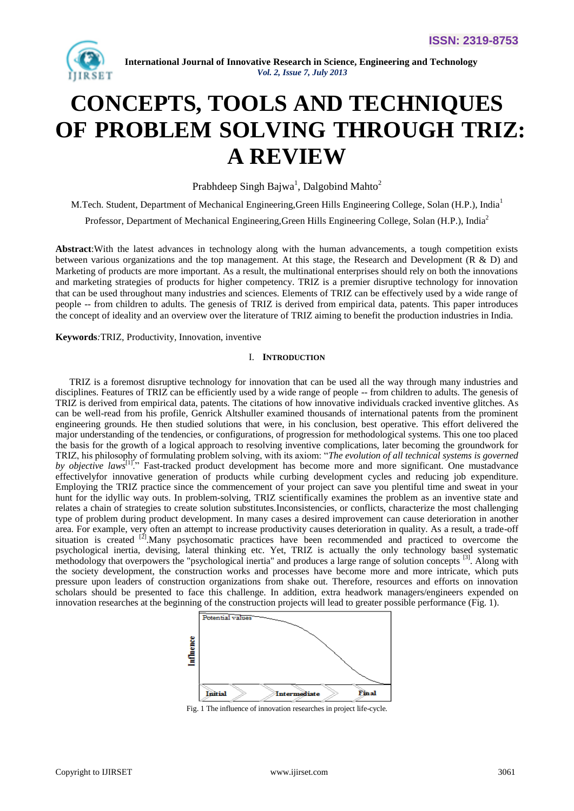

# **CONCEPTS, TOOLS AND TECHNIQUES OF PROBLEM SOLVING THROUGH TRIZ: A REVIEW**

Prabhdeep Singh Bajwa<sup>1</sup>, Dalgobind Mahto<sup>2</sup>

M.Tech. Student, Department of Mechanical Engineering, Green Hills Engineering College, Solan (H.P.), India<sup>1</sup> Professor, Department of Mechanical Engineering,Green Hills Engineering College, Solan (H.P.), India<sup>2</sup>

**Abstract**:With the latest advances in technology along with the human advancements, a tough competition exists between various organizations and the top management. At this stage, the Research and Development (R & D) and Marketing of products are more important. As a result, the multinational enterprises should rely on both the innovations and marketing strategies of products for higher competency. TRIZ is a premier disruptive technology for innovation that can be used throughout many industries and sciences. Elements of TRIZ can be effectively used by a wide range of people -- from children to adults. The genesis of TRIZ is derived from empirical data, patents. This paper introduces the concept of ideality and an overview over the literature of TRIZ aiming to benefit the production industries in India.

**Keywords***:*TRIZ, Productivity, Innovation, inventive

#### I. **INTRODUCTION**

TRIZ is a foremost disruptive technology for innovation that can be used all the way through many industries and disciplines. Features of TRIZ can be efficiently used by a wide range of people -- from children to adults. The genesis of TRIZ is derived from empirical data, patents. The citations of how innovative individuals cracked inventive glitches. As can be well-read from his profile, Genrick Altshuller examined thousands of international patents from the prominent engineering grounds. He then studied solutions that were, in his conclusion, best operative. This effort delivered the major understanding of the tendencies, or configurations, of progression for methodological systems. This one too placed the basis for the growth of a logical approach to resolving inventive complications, later becoming the groundwork for TRIZ, his philosophy of formulating problem solving, with its axiom: "The evolution of all technical systems is governed *by objective laws*<sup>[1]</sup>." Fast-tracked product development has become more and more significant. One mustadvance effectivelyfor innovative generation of products while curbing development cycles and reducing job expenditure. Employing the TRIZ practice since the commencement of your project can save you plentiful time and sweat in your hunt for the idyllic way outs. In problem-solving, TRIZ scientifically examines the problem as an inventive state and relates a chain of strategies to create solution substitutes.Inconsistencies, or conflicts, characterize the most challenging type of problem during product development. In many cases a desired improvement can cause deterioration in another area. For example, very often an attempt to increase productivity causes deterioration in quality. As a result, a trade-off situation is created <sup>[2]</sup>. Many psychosomatic practices have been recommended and practiced to overcome the psychological inertia, devising, lateral thinking etc. Yet, TRIZ is actually the only technology based systematic methodology that overpowers the "psychological inertia" and produces a large range of solution concepts [3]. Along with the society development, the construction works and processes have become more and more intricate, which puts pressure upon leaders of construction organizations from shake out. Therefore, resources and efforts on innovation scholars should be presented to face this challenge. In addition, extra headwork managers/engineers expended on innovation researches at the beginning of the construction projects will lead to greater possible performance (Fig. 1).



Fig. 1 The influence of innovation researches in project life-cycle.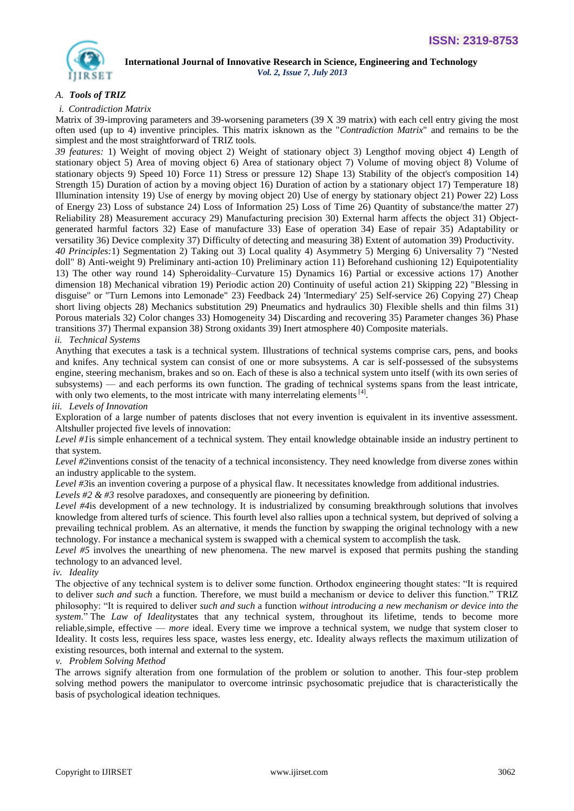

# *A. Tools of TRIZ*

#### *i. Contradiction Matrix*

Matrix of 39-improving parameters and 39-worsening parameters (39 X 39 matrix) with each cell entry giving the most often used (up to 4) inventive principles. This matrix isknown as the "*Contradiction Matrix*" and remains to be the simplest and the most straightforward of TRIZ tools.

*39 features:* 1) Weight of moving object 2) Weight of stationary object 3) Lengthof moving object 4) Length of stationary object 5) Area of moving object 6) Area of stationary object 7) Volume of moving object 8) Volume of stationary objects 9) Speed 10) Force 11) Stress or pressure 12) Shape 13) Stability of the object's composition 14) Strength 15) Duration of action by a moving object 16) Duration of action by a stationary object 17) Temperature 18) Illumination intensity 19) Use of energy by moving object 20) Use of energy by stationary object 21) Power 22) Loss of Energy 23) Loss of substance 24) Loss of Information 25) Loss of Time 26) Quantity of substance/the matter 27) Reliability 28) Measurement accuracy 29) Manufacturing precision 30) External harm affects the object 31) Objectgenerated harmful factors 32) Ease of manufacture 33) Ease of operation 34) Ease of repair 35) Adaptability or versatility 36) Device complexity 37) Difficulty of detecting and measuring 38) Extent of automation 39) Productivity.

*40 Principles:*1) Segmentation 2) Taking out 3) Local quality 4) Asymmetry 5) Merging 6) Universality 7) "Nested doll" 8) Anti-weight 9) Preliminary anti-action 10) Preliminary action 11) Beforehand cushioning 12) Equipotentiality 13) The other way round 14) Spheroidality–Curvature 15) Dynamics 16) Partial or excessive actions 17) Another dimension 18) Mechanical vibration 19) Periodic action 20) Continuity of useful action 21) Skipping 22) "Blessing in disguise" or "Turn Lemons into Lemonade" 23) Feedback 24) 'Intermediary' 25) Self-service 26) Copying 27) Cheap short living objects 28) Mechanics substitution 29) Pneumatics and hydraulics 30) Flexible shells and thin films 31) Porous materials 32) Color changes 33) Homogeneity 34) Discarding and recovering 35) Parameter changes 36) Phase transitions 37) Thermal expansion 38) Strong oxidants 39) Inert atmosphere 40) Composite materials.

## *ii. Technical Systems*

Anything that executes a task is a technical system. Illustrations of technical systems comprise cars, pens, and books and knifes. Any technical system can consist of one or more subsystems. A car is self-possessed of the subsystems engine, steering mechanism, brakes and so on. Each of these is also a technical system unto itself (with its own series of subsystems) — and each performs its own function. The grading of technical systems spans from the least intricate, with only two elements, to the most intricate with many interrelating elements<sup>[4]</sup>.

## *iii. Levels of Innovation*

Exploration of a large number of patents discloses that not every invention is equivalent in its inventive assessment. Altshuller projected five levels of innovation:

*Level #1*is simple enhancement of a technical system. They entail knowledge obtainable inside an industry pertinent to that system.

*Level #2*inventions consist of the tenacity of a technical inconsistency. They need knowledge from diverse zones within an industry applicable to the system.

*Level #3*is an invention covering a purpose of a physical flaw. It necessitates knowledge from additional industries.

*Levels #2 & #3* resolve paradoxes, and consequently are pioneering by definition.

*Level #4*is development of a new technology. It is industrialized by consuming breakthrough solutions that involves knowledge from altered turfs of science. This fourth level also rallies upon a technical system, but deprived of solving a prevailing technical problem. As an alternative, it mends the function by swapping the original technology with a new technology. For instance a mechanical system is swapped with a chemical system to accomplish the task.

*Level #5* involves the unearthing of new phenomena. The new marvel is exposed that permits pushing the standing technology to an advanced level.

### *iv. Ideality*

The objective of any technical system is to deliver some function. Orthodox engineering thought states: "It is required to deliver *such and such* a function. Therefore, we must build a mechanism or device to deliver this function." TRIZ philosophy: "It is required to deliver *such and such* a function *without introducing a new mechanism or device into the system*.‖ The *Law of Ideality*states that any technical system, throughout its lifetime, tends to become more reliable,simple, effective — *more* ideal. Every time we improve a technical system, we nudge that system closer to Ideality. It costs less, requires less space, wastes less energy, etc. Ideality always reflects the maximum utilization of existing resources, both internal and external to the system.

#### *v. Problem Solving Method*

The arrows signify alteration from one formulation of the problem or solution to another. This four-step problem solving method powers the manipulator to overcome intrinsic psychosomatic prejudice that is characteristically the basis of psychological ideation techniques.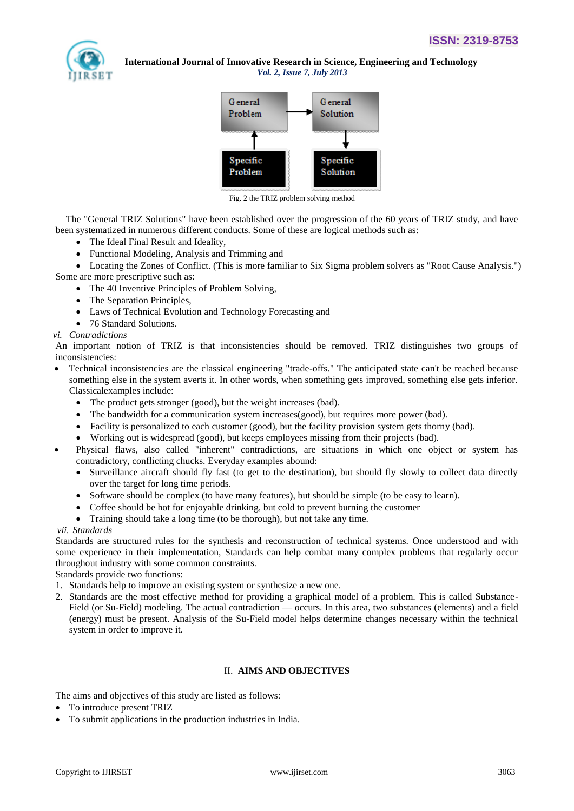



Fig. 2 the TRIZ problem solving method

The "General TRIZ Solutions" have been established over the progression of the 60 years of TRIZ study, and have been systematized in numerous different conducts. Some of these are logical methods such as:

- The Ideal Final Result and Ideality,
- Functional Modeling, Analysis and Trimming and

 Locating the Zones of Conflict. (This is more familiar to Six Sigma problem solvers as "Root Cause Analysis.") Some are more prescriptive such as:

- The 40 Inventive Principles of Problem Solving,
- The Separation Principles,
- Laws of Technical Evolution and Technology Forecasting and
- 76 Standard Solutions.

## *vi. Contradictions*

An important notion of TRIZ is that inconsistencies should be removed. TRIZ distinguishes two groups of inconsistencies:

- Technical inconsistencies are the classical engineering "trade-offs." The anticipated state can't be reached because something else in the system averts it. In other words, when something gets improved, something else gets inferior. Classicalexamples include:
	- The product gets stronger (good), but the weight increases (bad).
	- The bandwidth for a communication system increases(good), but requires more power (bad).
	- Facility is personalized to each customer (good), but the facility provision system gets thorny (bad).
	- Working out is widespread (good), but keeps employees missing from their projects (bad).
- Physical flaws, also called "inherent" contradictions, are situations in which one object or system has contradictory, conflicting chucks. Everyday examples abound:
	- Surveillance aircraft should fly fast (to get to the destination), but should fly slowly to collect data directly over the target for long time periods.
	- Software should be complex (to have many features), but should be simple (to be easy to learn).
	- Coffee should be hot for enjoyable drinking, but cold to prevent burning the customer
	- Training should take a long time (to be thorough), but not take any time.

## *vii. Standards*

Standards are structured rules for the synthesis and reconstruction of technical systems. Once understood and with some experience in their implementation, Standards can help combat many complex problems that regularly occur throughout industry with some common constraints.

Standards provide two functions:

- 1. Standards help to improve an existing system or synthesize a new one.
- 2. Standards are the most effective method for providing a graphical model of a problem. This is called Substance-Field (or Su-Field) modeling. The actual contradiction — occurs. In this area, two substances (elements) and a field (energy) must be present. Analysis of the Su-Field model helps determine changes necessary within the technical system in order to improve it.

# II. **AIMS AND OBJECTIVES**

The aims and objectives of this study are listed as follows:

- To introduce present TRIZ
- To submit applications in the production industries in India.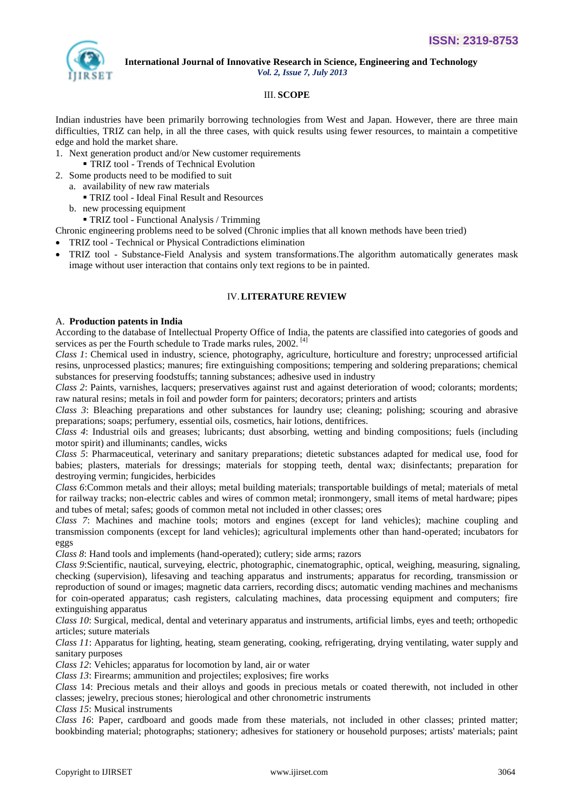

 **International Journal of Innovative Research in Science, Engineering and Technology**

# *Vol. 2, Issue 7, July 2013*

## III. **SCOPE**

Indian industries have been primarily borrowing technologies from West and Japan. However, there are three main difficulties, TRIZ can help, in all the three cases, with quick results using fewer resources, to maintain a competitive edge and hold the market share.

- 1. Next generation product and/or New customer requirements
	- TRIZ tool Trends of Technical Evolution
- 2. Some products need to be modified to suit
	- a. availability of new raw materials
		- TRIZ tool Ideal Final Result and Resources
	- b. new processing equipment
	- TRIZ tool Functional Analysis / Trimming
- Chronic engineering problems need to be solved (Chronic implies that all known methods have been tried)
- TRIZ tool Technical or Physical Contradictions elimination
- TRIZ tool Substance-Field Analysis and system transformations.The algorithm automatically generates mask image without user interaction that contains only text regions to be in painted.

## IV.**LITERATURE REVIEW**

## A. **Production patents in India**

According to the database of Intellectual Property Office of India, the patents are classified into categories of goods and services as per the Fourth schedule to Trade marks rules, 2002.<sup>[4]</sup>

*Class 1*: Chemical used in industry, science, photography, agriculture, horticulture and forestry; unprocessed artificial resins, unprocessed plastics; manures; fire extinguishing compositions; tempering and soldering preparations; chemical substances for preserving foodstuffs; tanning substances; adhesive used in industry

*Class 2*: Paints, varnishes, lacquers; preservatives against rust and against deterioration of wood; colorants; mordents; raw natural resins; metals in foil and powder form for painters; decorators; printers and artists

*Class 3*: Bleaching preparations and other substances for laundry use; cleaning; polishing; scouring and abrasive preparations; soaps; perfumery, essential oils, cosmetics, hair lotions, dentifrices.

*Class 4*: Industrial oils and greases; lubricants; dust absorbing, wetting and binding compositions; fuels (including motor spirit) and illuminants; candles, wicks

*Class 5*: Pharmaceutical, veterinary and sanitary preparations; dietetic substances adapted for medical use, food for babies; plasters, materials for dressings; materials for stopping teeth, dental wax; disinfectants; preparation for destroying vermin; fungicides, herbicides

*Class 6*:Common metals and their alloys; metal building materials; transportable buildings of metal; materials of metal for railway tracks; non-electric cables and wires of common metal; ironmongery, small items of metal hardware; pipes and tubes of metal; safes; goods of common metal not included in other classes; ores

*Class 7*: Machines and machine tools; motors and engines (except for land vehicles); machine coupling and transmission components (except for land vehicles); agricultural implements other than hand-operated; incubators for eggs

*Class 8*: Hand tools and implements (hand-operated); cutlery; side arms; razors

*Class 9*:Scientific, nautical, surveying, electric, photographic, cinematographic, optical, weighing, measuring, signaling, checking (supervision), lifesaving and teaching apparatus and instruments; apparatus for recording, transmission or reproduction of sound or images; magnetic data carriers, recording discs; automatic vending machines and mechanisms for coin-operated apparatus; cash registers, calculating machines, data processing equipment and computers; fire extinguishing apparatus

*Class 10*: Surgical, medical, dental and veterinary apparatus and instruments, artificial limbs, eyes and teeth; orthopedic articles; suture materials

*Class 11*: Apparatus for lighting, heating, steam generating, cooking, refrigerating, drying ventilating, water supply and sanitary purposes

*Class 12*: Vehicles; apparatus for locomotion by land, air or water

*Class 13*: Firearms; ammunition and projectiles; explosives; fire works

*Class* 14: Precious metals and their alloys and goods in precious metals or coated therewith, not included in other classes; jewelry, precious stones; hierological and other chronometric instruments

*Class 15*: Musical instruments

*Class 16*: Paper, cardboard and goods made from these materials, not included in other classes; printed matter; bookbinding material; photographs; stationery; adhesives for stationery or household purposes; artists' materials; paint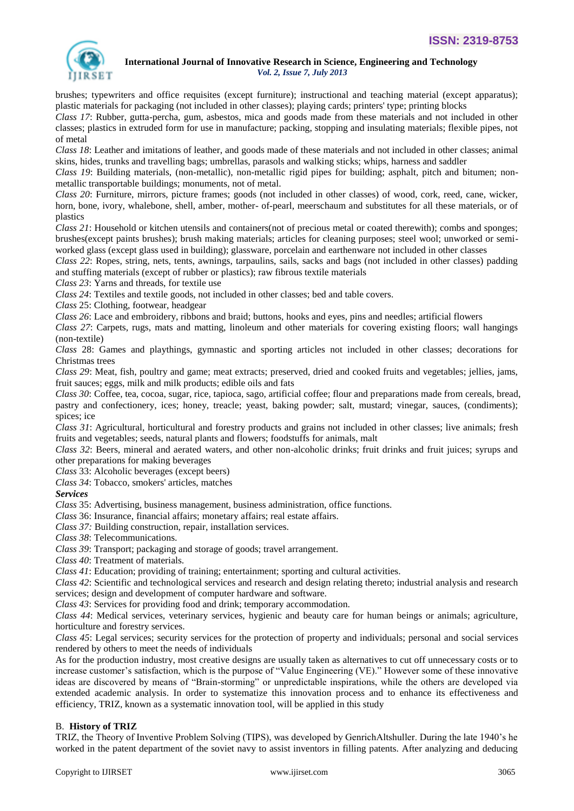

brushes; typewriters and office requisites (except furniture); instructional and teaching material (except apparatus); plastic materials for packaging (not included in other classes); playing cards; printers' type; printing blocks

*Class 17*: Rubber, gutta-percha, gum, asbestos, mica and goods made from these materials and not included in other classes; plastics in extruded form for use in manufacture; packing, stopping and insulating materials; flexible pipes, not of metal

*Class 18*: Leather and imitations of leather, and goods made of these materials and not included in other classes; animal skins, hides, trunks and travelling bags; umbrellas, parasols and walking sticks; whips, harness and saddler

*Class 19*: Building materials, (non-metallic), non-metallic rigid pipes for building; asphalt, pitch and bitumen; nonmetallic transportable buildings; monuments, not of metal.

*Class 20*: Furniture, mirrors, picture frames; goods (not included in other classes) of wood, cork, reed, cane, wicker, horn, bone, ivory, whalebone, shell, amber, mother- of-pearl, meerschaum and substitutes for all these materials, or of plastics

*Class 21*: Household or kitchen utensils and containers(not of precious metal or coated therewith); combs and sponges; brushes(except paints brushes); brush making materials; articles for cleaning purposes; steel wool; unworked or semiworked glass (except glass used in building); glassware, porcelain and earthenware not included in other classes

*Class 22*: Ropes, string, nets, tents, awnings, tarpaulins, sails, sacks and bags (not included in other classes) padding and stuffing materials (except of rubber or plastics); raw fibrous textile materials

*Class 23*: Yarns and threads, for textile use

*Class 24*: Textiles and textile goods, not included in other classes; bed and table covers.

*Class* 25: Clothing, footwear, headgear

*Class 26*: Lace and embroidery, ribbons and braid; buttons, hooks and eyes, pins and needles; artificial flowers

*Class 27*: Carpets, rugs, mats and matting, linoleum and other materials for covering existing floors; wall hangings (non-textile)

*Class* 28: Games and playthings, gymnastic and sporting articles not included in other classes; decorations for Christmas trees

*Class 29*: Meat, fish, poultry and game; meat extracts; preserved, dried and cooked fruits and vegetables; jellies, jams, fruit sauces; eggs, milk and milk products; edible oils and fats

*Class 30*: Coffee, tea, cocoa, sugar, rice, tapioca, sago, artificial coffee; flour and preparations made from cereals, bread, pastry and confectionery, ices; honey, treacle; yeast, baking powder; salt, mustard; vinegar, sauces, (condiments); spices; ice

*Class 31*: Agricultural, horticultural and forestry products and grains not included in other classes; live animals; fresh fruits and vegetables; seeds, natural plants and flowers; foodstuffs for animals, malt

*Class 32*: Beers, mineral and aerated waters, and other non-alcoholic drinks; fruit drinks and fruit juices; syrups and other preparations for making beverages

*Class* 33: Alcoholic beverages (except beers)

*Class 34*: Tobacco, smokers' articles, matches

#### *Services*

*Class* 35: Advertising, business management, business administration, office functions.

*Class* 36: Insurance, financial affairs; monetary affairs; real estate affairs.

*Class 37:* Building construction, repair, installation services.

*Class 38*: Telecommunications.

*Class 39*: Transport; packaging and storage of goods; travel arrangement.

*Class 40*: Treatment of materials.

*Class 41*: Education; providing of training; entertainment; sporting and cultural activities.

*Class 42*: Scientific and technological services and research and design relating thereto; industrial analysis and research services; design and development of computer hardware and software.

*Class 43*: Services for providing food and drink; temporary accommodation.

*Class 44*: Medical services, veterinary services, hygienic and beauty care for human beings or animals; agriculture, horticulture and forestry services.

*Class 45*: Legal services; security services for the protection of property and individuals; personal and social services rendered by others to meet the needs of individuals

As for the production industry, most creative designs are usually taken as alternatives to cut off unnecessary costs or to increase customer's satisfaction, which is the purpose of "Value Engineering (VE)." However some of these innovative ideas are discovered by means of "Brain-storming" or unpredictable inspirations, while the others are developed via extended academic analysis. In order to systematize this innovation process and to enhance its effectiveness and efficiency, TRIZ, known as a systematic innovation tool, will be applied in this study

# B. **History of TRIZ**

TRIZ, the Theory of Inventive Problem Solving (TIPS), was developed by GenrichAltshuller. During the late 1940's he worked in the patent department of the soviet navy to assist inventors in filling patents. After analyzing and deducing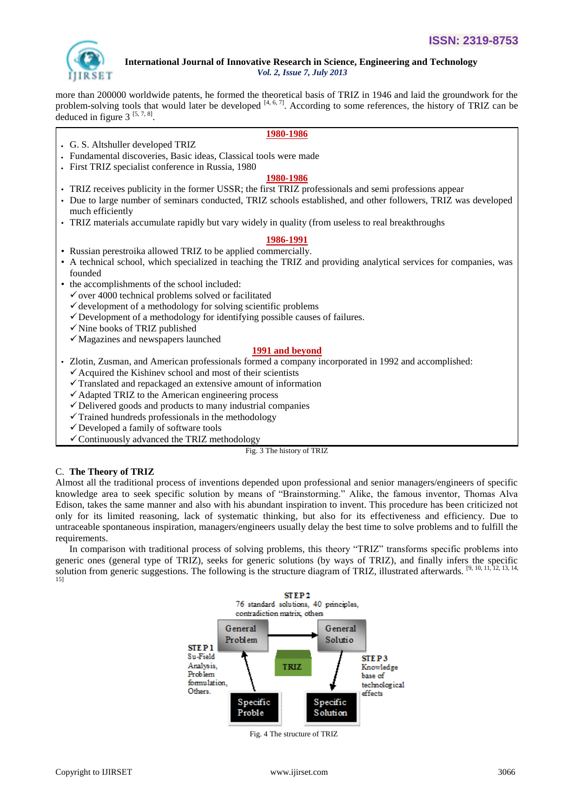

more than 200000 worldwide patents, he formed the theoretical basis of TRIZ in 1946 and laid the groundwork for the problem-solving tools that would later be developed  $[4, 6, 7]$ . According to some references, the history of TRIZ can be deduced in figure  $3^{[5, 7, 8]}$ .

## **1980-1986**

- G. S. Altshuller developed TRIZ
- Fundamental discoveries, Basic ideas, Classical tools were made
- First TRIZ specialist conference in Russia, 1980

#### **1980-1986**

- TRIZ receives publicity in the former USSR; the first TRIZ professionals and semi professions appear
- Due to large number of seminars conducted, TRIZ schools established, and other followers, TRIZ was developed much efficiently
- TRIZ materials accumulate rapidly but vary widely in quality (from useless to real breakthroughs

#### **1986-1991**

- Russian perestroika allowed TRIZ to be applied commercially.
- A technical school, which specialized in teaching the TRIZ and providing analytical services for companies, was founded
- the accomplishments of the school included:
	- $\checkmark$  over 4000 technical problems solved or facilitated
	- $\checkmark$  development of a methodology for solving scientific problems
	- $\checkmark$  Development of a methodology for identifying possible causes of failures.
	- $\checkmark$  Nine books of TRIZ published
	- $\checkmark$  Magazines and newspapers launched

## **1991 and beyond**

- Zlotin, Zusman, and American professionals formed a company incorporated in 1992 and accomplished:
	- $\checkmark$  Acquired the Kishinev school and most of their scientists
	- $\checkmark$  Translated and repackaged an extensive amount of information
	- $\checkmark$  Adapted TRIZ to the American engineering process
	- $\checkmark$  Delivered goods and products to many industrial companies
	- $\checkmark$  Trained hundreds professionals in the methodology
	- Developed a family of software tools
	- $\checkmark$  Continuously advanced the TRIZ methodology

Fig. 3 The history of TRIZ

## C. **The Theory of TRIZ**

Almost all the traditional process of inventions depended upon professional and senior managers/engineers of specific knowledge area to seek specific solution by means of "Brainstorming." Alike, the famous inventor, Thomas Alva Edison, takes the same manner and also with his abundant inspiration to invent. This procedure has been criticized not only for its limited reasoning, lack of systematic thinking, but also for its effectiveness and efficiency. Due to untraceable spontaneous inspiration, managers/engineers usually delay the best time to solve problems and to fulfill the requirements.

In comparison with traditional process of solving problems, this theory "TRIZ" transforms specific problems into generic ones (general type of TRIZ), seeks for generic solutions (by ways of TRIZ), and finally infers the specific solution from generic suggestions. The following is the structure diagram of TRIZ, illustrated afterwards.  $[9, 10, 11, 12, 13, 14, 15]$ 



Fig. 4 The structure of TRIZ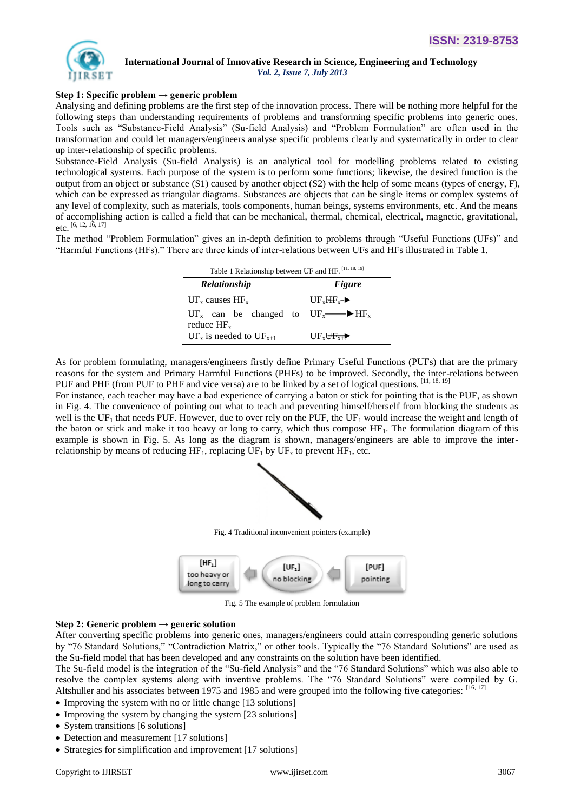

# **International Journal of Innovative Research in Science, Engineering and Technology**

 *Vol. 2, Issue 7, July 2013*

## **Step 1: Specific problem → generic problem**

Analysing and defining problems are the first step of the innovation process. There will be nothing more helpful for the following steps than understanding requirements of problems and transforming specific problems into generic ones. Tools such as "Substance-Field Analysis" (Su-field Analysis) and "Problem Formulation" are often used in the transformation and could let managers/engineers analyse specific problems clearly and systematically in order to clear up inter-relationship of specific problems.

Substance-Field Analysis (Su-field Analysis) is an analytical tool for modelling problems related to existing technological systems. Each purpose of the system is to perform some functions; likewise, the desired function is the output from an object or substance (S1) caused by another object (S2) with the help of some means (types of energy, F), which can be expressed as triangular diagrams. Substances are objects that can be single items or complex systems of any level of complexity, such as materials, tools components, human beings, systems environments, etc. And the means of accomplishing action is called a field that can be mechanical, thermal, chemical, electrical, magnetic, gravitational, etc. [6, 12, 16, 17]

The method "Problem Formulation" gives an in-depth definition to problems through "Useful Functions (UFs)" and ―Harmful Functions (HFs).‖ There are three kinds of inter-relations between UFs and HFs illustrated in Table 1.

| Table 1 Relationship between UF and HF. [11, 18, 19]                    |                                           |  |  |  |  |  |
|-------------------------------------------------------------------------|-------------------------------------------|--|--|--|--|--|
| Relationship                                                            | <b>Figure</b>                             |  |  |  |  |  |
| $UFx$ causes $HFx$                                                      | $UF.HF \rightarrow$                       |  |  |  |  |  |
| $UF_x$ can be changed to $UF_x \longrightarrow HF_x$<br>reduce $HF_{x}$ |                                           |  |  |  |  |  |
| $UF_x$ is needed to $UF_{x+1}$                                          | $UF_{\mathbf{v}} \mathbf{H}_{\mathbf{v}}$ |  |  |  |  |  |

As for problem formulating, managers/engineers firstly define Primary Useful Functions (PUFs) that are the primary reasons for the system and Primary Harmful Functions (PHFs) to be improved. Secondly, the inter-relations between PUF and PHF (from PUF to PHF and vice versa) are to be linked by a set of logical questions. [11, 18, 19]

For instance, each teacher may have a bad experience of carrying a baton or stick for pointing that is the PUF, as shown in Fig. 4. The convenience of pointing out what to teach and preventing himself/herself from blocking the students as well is the UF<sub>1</sub> that needs PUF. However, due to over rely on the PUF, the UF<sub>1</sub> would increase the weight and length of the baton or stick and make it too heavy or long to carry, which thus compose  $HF_1$ . The formulation diagram of this example is shown in Fig. 5. As long as the diagram is shown, managers/engineers are able to improve the interrelationship by means of reducing  $HF_1$ , replacing  $UF_1$  by  $UF_x$  to prevent  $HF_1$ , etc.



Fig. 4 Traditional inconvenient pointers (example)



Fig. 5 The example of problem formulation

## **Step 2: Generic problem → generic solution**

After converting specific problems into generic ones, managers/engineers could attain corresponding generic solutions by "76 Standard Solutions," "Contradiction Matrix," or other tools. Typically the "76 Standard Solutions" are used as the Su-field model that has been developed and any constraints on the solution have been identified.

The Su-field model is the integration of the "Su-field Analysis" and the "76 Standard Solutions" which was also able to resolve the complex systems along with inventive problems. The "76 Standard Solutions" were compiled by G. Altshuller and his associates between 1975 and 1985 and were grouped into the following five categories: [16, 17]

- Improving the system with no or little change [13 solutions]
- Improving the system by changing the system [23 solutions]
- System transitions [6 solutions]
- Detection and measurement [17 solutions]
- Strategies for simplification and improvement [17 solutions]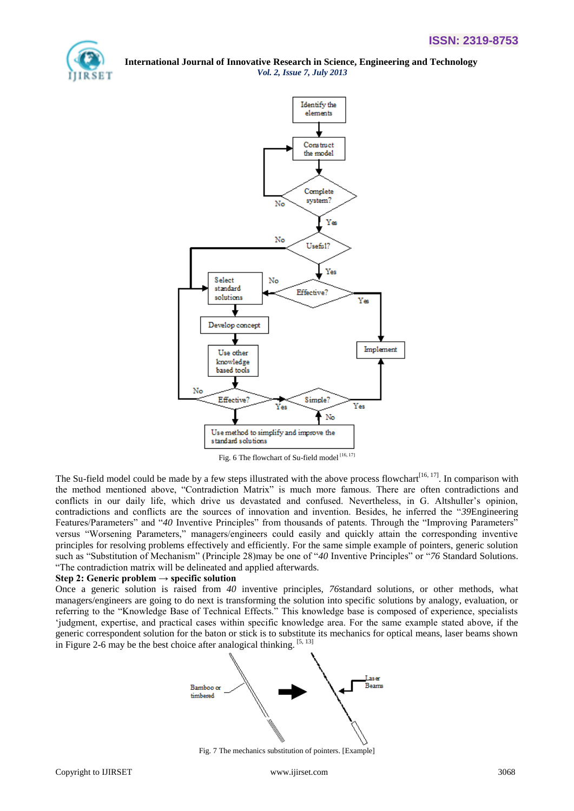



Fig. 6 The flowchart of Su-field model [16, 17]

The Su-field model could be made by a few steps illustrated with the above process flowchart<sup>[16, 17]</sup>. In comparison with the method mentioned above, "Contradiction Matrix" is much more famous. There are often contradictions and conflicts in our daily life, which drive us devastated and confused. Nevertheless, in G. Altshuller's opinion, contradictions and conflicts are the sources of innovation and invention. Besides, he inferred the "39Engineering Features/Parameters" and "40 Inventive Principles" from thousands of patents. Through the "Improving Parameters" versus "Worsening Parameters," managers/engineers could easily and quickly attain the corresponding inventive principles for resolving problems effectively and efficiently. For the same simple example of pointers, generic solution such as "Substitution of Mechanism" (Principle 28)may be one of "40 Inventive Principles" or "76 Standard Solutions. ―The contradiction matrix will be delineated and applied afterwards.

#### **Step 2: Generic problem → specific solution**

Once a generic solution is raised from *40* inventive principles, *76*standard solutions, or other methods, what managers/engineers are going to do next is transforming the solution into specific solutions by analogy, evaluation, or referring to the "Knowledge Base of Technical Effects." This knowledge base is composed of experience, specialists ‗judgment, expertise, and practical cases within specific knowledge area. For the same example stated above, if the generic correspondent solution for the baton or stick is to substitute its mechanics for optical means, laser beams shown in Figure 2-6 may be the best choice after analogical thinking.  $[5, 13]$ 



Fig. 7 The mechanics substitution of pointers. [Example]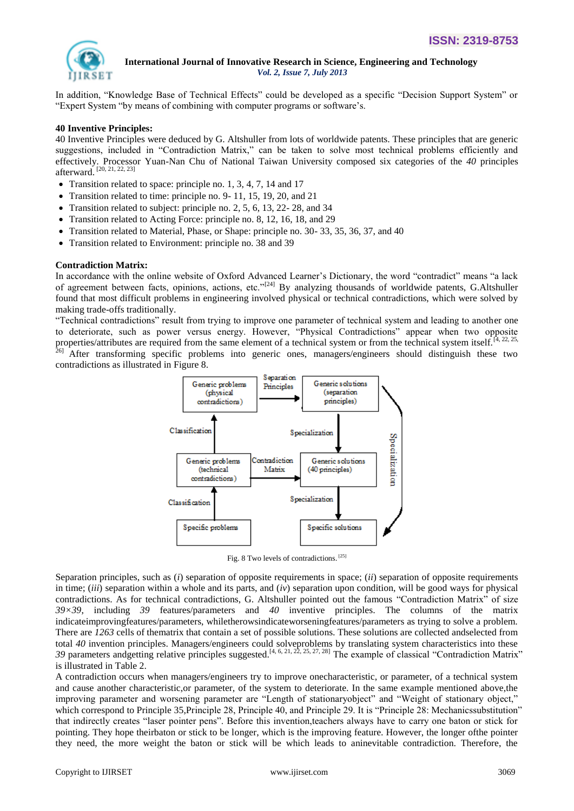

In addition, "Knowledge Base of Technical Effects" could be developed as a specific "Decision Support System" or "Expert System "by means of combining with computer programs or software's.

## **40 Inventive Principles:**

40 Inventive Principles were deduced by G. Altshuller from lots of worldwide patents. These principles that are generic suggestions, included in "Contradiction Matrix," can be taken to solve most technical problems efficiently and effectively. Processor Yuan-Nan Chu of National Taiwan University composed six categories of the *40* principles afterward. [20, 21, 22, 23]

- Transition related to space: principle no. 1, 3, 4, 7, 14 and 17
- Transition related to time: principle no. 9-11, 15, 19, 20, and 21
- Transition related to subject: principle no. 2, 5, 6, 13, 22-28, and 34
- Transition related to Acting Force: principle no. 8, 12, 16, 18, and 29
- Transition related to Material, Phase, or Shape: principle no. 30- 33, 35, 36, 37, and 40
- Transition related to Environment: principle no. 38 and 39

#### **Contradiction Matrix:**

In accordance with the online website of Oxford Advanced Learner's Dictionary, the word "contradict" means "a lack of agreement between facts, opinions, actions, etc."<sup>[24]</sup> By analyzing thousands of worldwide patents, G.Altshuller found that most difficult problems in engineering involved physical or technical contradictions, which were solved by making trade-offs traditionally.

―Technical contradictions‖ result from trying to improve one parameter of technical system and leading to another one to deteriorate, such as power versus energy. However, "Physical Contradictions" appear when two opposite properties/attributes are required from the same element of a technical system or from the technical system itself. $[4, 22, 25,$  $^{26}$  After transforming specific problems into generic ones, managers/engineers should distinguish these two contradictions as illustrated in Figure 8.



Fig. 8 Two levels of contradictions. [25]

Separation principles, such as (*i*) separation of opposite requirements in space; (*ii*) separation of opposite requirements in time; (*iii*) separation within a whole and its parts, and (*iv*) separation upon condition, will be good ways for physical contradictions. As for technical contradictions, G. Altshuller pointed out the famous "Contradiction Matrix" of size *39×39*, including *39* features/parameters and *40* inventive principles. The columns of the matrix indicateimprovingfeatures/parameters, whiletherowsindicateworseningfeatures/parameters as trying to solve a problem. There are *1263* cells of thematrix that contain a set of possible solutions. These solutions are collected andselected from total *40* invention principles. Managers/engineers could solveproblems by translating system characteristics into these 39 parameters andgetting relative principles suggested.<sup>[4, 6, 21, 22, 25, 27, 28] The example of classical "Contradiction Matrix"</sup> is illustrated in Table 2.

A contradiction occurs when managers/engineers try to improve onecharacteristic, or parameter, of a technical system and cause another characteristic,or parameter, of the system to deteriorate. In the same example mentioned above,the improving parameter and worsening parameter are "Length of stationaryobject" and "Weight of stationary object," which correspond to Principle 35, Principle 28, Principle 40, and Principle 29. It is "Principle 28: Mechanicssubstitution" that indirectly creates "laser pointer pens". Before this invention,teachers always have to carry one baton or stick for pointing. They hope theirbaton or stick to be longer, which is the improving feature. However, the longer ofthe pointer they need, the more weight the baton or stick will be which leads to aninevitable contradiction. Therefore, the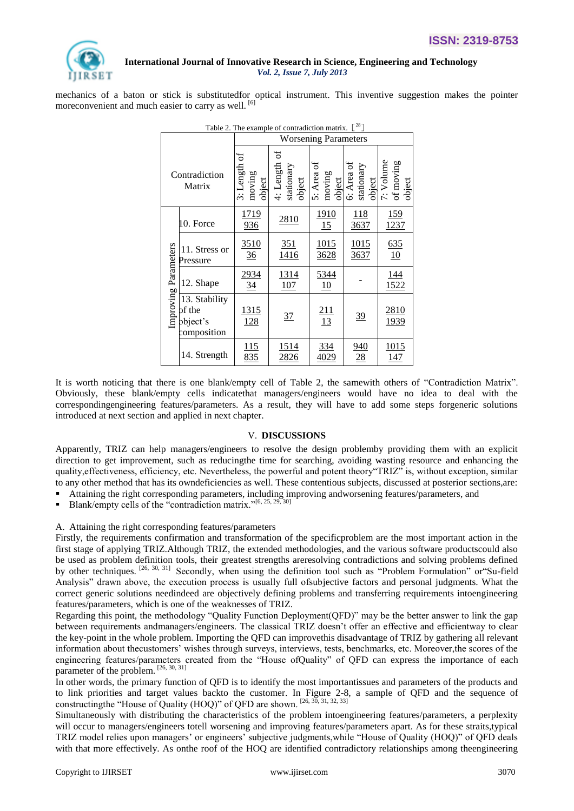

mechanics of a baton or stick is substitutedfor optical instrument. This inventive suggestion makes the pointer moreconvenient and much easier to carry as well. [6]

| Table 2. The example of contradiction matrix. $[28]$ |                                                    |                                    |                                         |                                |                          |                                                                 |  |  |
|------------------------------------------------------|----------------------------------------------------|------------------------------------|-----------------------------------------|--------------------------------|--------------------------|-----------------------------------------------------------------|--|--|
|                                                      |                                                    | <b>Worsening Parameters</b>        |                                         |                                |                          |                                                                 |  |  |
| Contradiction<br>Matrix                              |                                                    | đ<br>3: Length<br>moving<br>object | 'ಕ<br>4: Length<br>stationary<br>object | 5: Area of<br>moving<br>object | 6: Area of<br>stationary | $\frac{\text{object}}{7: \text{Volume}}$<br>of moving<br>object |  |  |
| Improving Parameters                                 | 10. Force                                          | <u>1719</u><br>936                 | 2810                                    | <u>1910</u><br>15              | <u>118</u><br>3637       | <u>159</u><br>1237                                              |  |  |
|                                                      | 11. Stress or<br>Pressure                          | 3510<br>36                         | 351<br>1416                             | 1015<br>3628                   | 1015<br>3637             | 635<br>10                                                       |  |  |
|                                                      | 12. Shape                                          | 2934<br>34                         | 1314<br>107                             | 5344<br>10                     |                          | 144<br>1522                                                     |  |  |
|                                                      | 13. Stability<br>of the<br>bbject's<br>composition | <u>1315</u><br>128                 | 37                                      | $\frac{211}{13}$               | 39                       | 2810<br>1939                                                    |  |  |
|                                                      | 14. Strength                                       | 115<br>835                         | <u>1514</u><br>2826                     | 334<br>4029                    | 940<br>28                | 1015<br>147                                                     |  |  |

It is worth noticing that there is one blank/empty cell of Table 2, the samewith others of "Contradiction Matrix". Obviously, these blank/empty cells indicatethat managers/engineers would have no idea to deal with the correspondingengineering features/parameters. As a result, they will have to add some steps forgeneric solutions introduced at next section and applied in next chapter.

#### V. **DISCUSSIONS**

Apparently, TRIZ can help managers/engineers to resolve the design problemby providing them with an explicit direction to get improvement, such as reducingthe time for searching, avoiding wasting resource and enhancing the quality, effectiveness, efficiency, etc. Nevertheless, the powerful and potent theory "TRIZ" is, without exception, similar to any other method that has its owndeficiencies as well. These contentious subjects, discussed at posterior sections,are:

- Attaining the right corresponding parameters, including improving andworsening features/parameters, and
- Blank/empty cells of the "contradiction matrix."<sup>[6, 25, 29, 30]</sup>

#### A. Attaining the right corresponding features/parameters

Firstly, the requirements confirmation and transformation of the specificproblem are the most important action in the first stage of applying TRIZ.Although TRIZ, the extended methodologies, and the various software productscould also be used as problem definition tools, their greatest strengths areresolving contradictions and solving problems defined by other techniques. <sup>[26, 30, 31]</sup> Secondly, when using the definition tool such as "Problem Formulation" or "Su-field Analysis" drawn above, the execution process is usually full ofsubjective factors and personal judgments. What the correct generic solutions needindeed are objectively defining problems and transferring requirements intoengineering features/parameters, which is one of the weaknesses of TRIZ.

Regarding this point, the methodology "Quality Function Deployment(QFD)" may be the better answer to link the gap between requirements andmanagers/engineers. The classical TRIZ doesn't offer an effective and efficientway to clear the key-point in the whole problem. Importing the QFD can improvethis disadvantage of TRIZ by gathering all relevant information about thecustomers' wishes through surveys, interviews, tests, benchmarks, etc. Moreover,the scores of the engineering features/parameters created from the "House ofQuality" of QFD can express the importance of each parameter of the problem.  $^{[26, 30, 31]}$ 

In other words, the primary function of QFD is to identify the most importantissues and parameters of the products and to link priorities and target values backto the customer. In Figure 2-8, a sample of QFD and the sequence of constructingthe "House of Quality (HOQ)" of QFD are shown.  $^{[26, 30, 31, 32, 33]}$ 

Simultaneously with distributing the characteristics of the problem intoengineering features/parameters, a perplexity will occur to managers/engineers totell worsening and improving features/parameters apart. As for these straits,typical TRIZ model relies upon managers' or engineers' subjective judgments, while "House of Quality (HOQ)" of QFD deals with that more effectively. As onthe roof of the HOQ are identified contradictory relationships among theengineering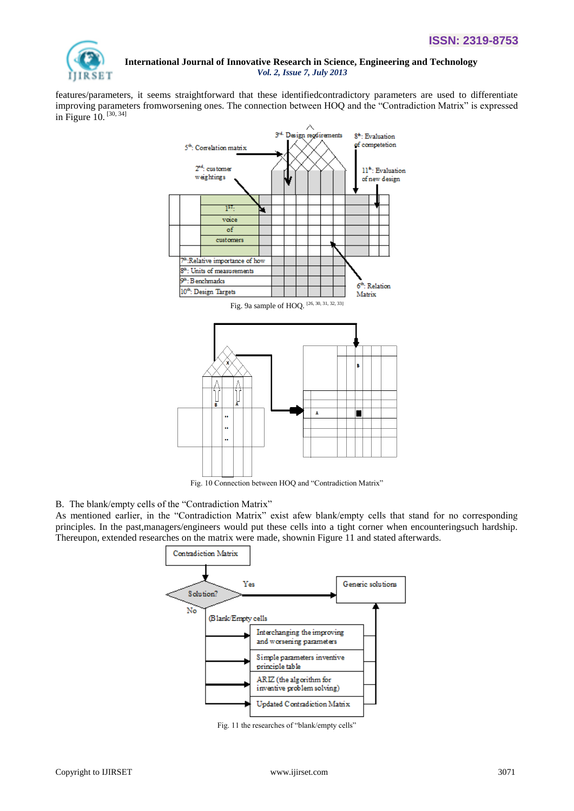

features/parameters, it seems straightforward that these identifiedcontradictory parameters are used to differentiate improving parameters fromworsening ones. The connection between HOQ and the "Contradiction Matrix" is expressed in Figure  $10.$  [30, 34]



Fig. 10 Connection between HOQ and "Contradiction Matrix"

## B. The blank/empty cells of the "Contradiction Matrix"

As mentioned earlier, in the "Contradiction Matrix" exist afew blank/empty cells that stand for no corresponding principles. In the past,managers/engineers would put these cells into a tight corner when encounteringsuch hardship. Thereupon, extended researches on the matrix were made, shownin Figure 11 and stated afterwards.



Fig. 11 the researches of "blank/empty cells"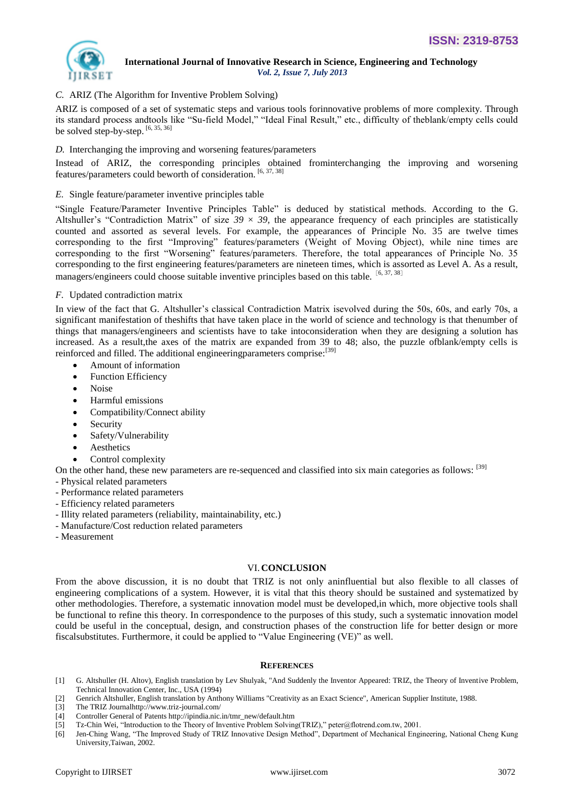

## *C.* ARIZ (The Algorithm for Inventive Problem Solving)

ARIZ is composed of a set of systematic steps and various tools forinnovative problems of more complexity. Through its standard process andtools like "Su-field Model," "Ideal Final Result," etc., difficulty of theblank/empty cells could be solved step-by-step. [6, 35, 36]

*D.* Interchanging the improving and worsening features/parameters

Instead of ARIZ, the corresponding principles obtained frominterchanging the improving and worsening features/parameters could beworth of consideration. [6, 37, 38]

### *E.* Single feature/parameter inventive principles table

―Single Feature/Parameter Inventive Principles Table‖ is deduced by statistical methods. According to the G. Altshuller's "Contradiction Matrix" of size  $39 \times 39$ , the appearance frequency of each principles are statistically counted and assorted as several levels. For example, the appearances of Principle No. 35 are twelve times corresponding to the first "Improving" features/parameters (Weight of Moving Object), while nine times are corresponding to the first "Worsening" features/parameters. Therefore, the total appearances of Principle No. 35 corresponding to the first engineering features/parameters are nineteen times, which is assorted as Level A. As a result, managers/engineers could choose suitable inventive principles based on this table.<sup>[6, 37, 38]</sup>

## *F.* Updated contradiction matrix

In view of the fact that G. Altshuller's classical Contradiction Matrix isevolved during the 50s, 60s, and early 70s, a significant manifestation of theshifts that have taken place in the world of science and technology is that thenumber of things that managers/engineers and scientists have to take intoconsideration when they are designing a solution has increased. As a result,the axes of the matrix are expanded from 39 to 48; also, the puzzle ofblank/empty cells is reinforced and filled. The additional engineeringparameters comprise:<sup>[39]</sup>

- Amount of information
- Function Efficiency
- Noise
- Harmful emissions
- Compatibility/Connect ability
- Security
- Safety/Vulnerability
- Aesthetics
- Control complexity

On the other hand, these new parameters are re-sequenced and classified into six main categories as follows: [39]

- Physical related parameters

- Performance related parameters
- Efficiency related parameters
- Illity related parameters (reliability, maintainability, etc.)
- Manufacture/Cost reduction related parameters
- Measurement

## VI.**CONCLUSION**

From the above discussion, it is no doubt that TRIZ is not only aninfluential but also flexible to all classes of engineering complications of a system. However, it is vital that this theory should be sustained and systematized by other methodologies. Therefore, a systematic innovation model must be developed,in which, more objective tools shall be functional to refine this theory. In correspondence to the purposes of this study, such a systematic innovation model could be useful in the conceptual, design, and construction phases of the construction life for better design or more fiscalsubstitutes. Furthermore, it could be applied to "Value Engineering (VE)" as well.

#### **REFERENCES**

- [1] G. Altshuller (H. Altov), English translation by Lev Shulyak, "And Suddenly the Inventor Appeared: TRIZ, the Theory of Inventive Problem, Technical Innovation Center, Inc., USA (1994)
- [2] Genrich Altshuller, English translation by Anthony Williams "Creativity as an Exact Science", American Supplier Institute, 1988.
- [3] The TRIZ Journ[alhttp://www.triz-journal.com/](http://www.triz-journal.com/)
- [4] Controller General of Patents http://ipindia.nic.in/tmr\_new/default.htm
- [5] Tz-Chin Wei, "Introduction to the Theory of Inventive Problem Solving(TRIZ)," peter@flotrend.com.tw, 2001.
- [6] Jen-Ching Wang, "The Improved Study of TRIZ Innovative Design Method", Department of Mechanical Engineering, National Cheng Kung University,Taiwan, 2002.